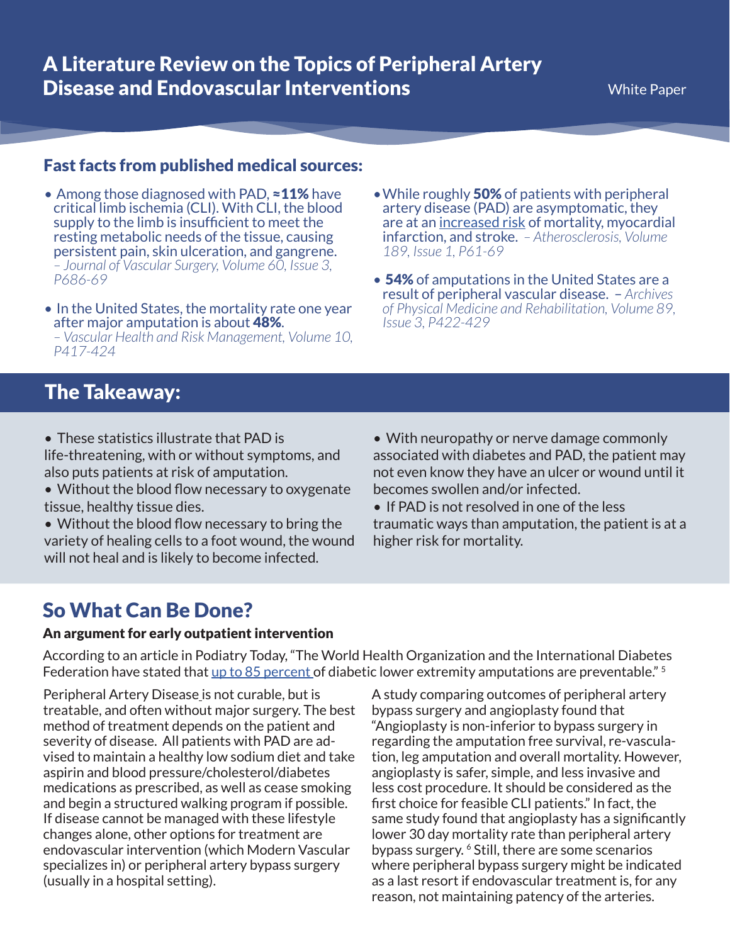## Fast facts from published medical sources:

- Among those diagnosed with PAD, ≈11% have critical limb ischemia (CLI). With CLI, the blood supply to the limb is insufficient to meet the resting metabolic needs of the tissue, causing persistent pain, skin ulceration, and gangrene. *– Journal of Vascular Surgery, Volume 60, Issue 3, P686-69*
- In the United States, the mortality rate one year after major amputation is about 48%. *– Vascular Health and Risk Management, Volume 10, P417-424*
- While roughly 50% of patients with peripheral artery disease (PAD) are asymptomatic, they are at an [increased risk](https://pubmed.ncbi.nlm.nih.gov/16620828/) of mortality, myocardial infarction, and stroke. *– Atherosclerosis, Volume 189, Issue 1, P61-69*
- 54% of amputations in the United States are a result of peripheral vascular disease. – *Archives of Physical Medicine and Rehabilitation, Volume 89, Issue 3, P422-429*

# The Takeaway:

- These statistics illustrate that PAD is life-threatening, with or without symptoms, and also puts patients at risk of amputation.
- Without the blood flow necessary to oxygenate tissue, healthy tissue dies.
- Without the blood flow necessary to bring the variety of healing cells to a foot wound, the wound will not heal and is likely to become infected.
- With neuropathy or nerve damage commonly associated with diabetes and PAD, the patient may not even know they have an ulcer or wound until it becomes swollen and/or infected.
- If PAD is not resolved in one of the less traumatic ways than amputation, the patient is at a higher risk for mortality.

## So What Can Be Done?

#### An argument for early outpatient intervention

According to an article in Podiatry Today, "The World Health Organization and the International Diabetes Federation have stated that [up to 85 percent](https://www.hmpgloballearningnetwork.com/site/podiatry/article/8355) of diabetic lower extremity amputations are preventable." <sup>5</sup>

[Peripheral Artery Disease](http://modernvascular.com/peripheral-artery-disease/) is not curable, but is treatable, and often without major surgery. The best method of treatment depends on the patient and severity of disease. All patients with PAD are advised to maintain a healthy low sodium diet and take aspirin and blood pressure/cholesterol/diabetes medications as prescribed, as well as cease smoking and begin a structured walking program if possible. If disease cannot be managed with these lifestyle changes alone, other options for treatment are endovascular intervention (which Modern Vascular specializes in) or peripheral artery bypass surgery (usually in a hospital setting).

A study comparing outcomes of peripheral artery bypass surgery and angioplasty found that "Angioplasty is non-inferior to bypass surgery in regarding the amputation free survival, re-vasculation, leg amputation and overall mortality. However, angioplasty is safer, simple, and less invasive and less cost procedure. It should be considered as the first choice for feasible CLI patients." In fact, the same study found that angioplasty has a significantly lower 30 day mortality rate than peripheral artery bypass surgery. <sup>6</sup> Still, there are some scenarios where peripheral bypass surgery might be indicated as a last resort if endovascular treatment is, for any reason, not maintaining patency of the arteries.